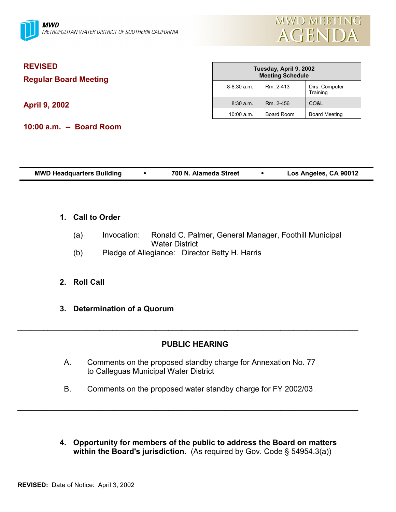

| <b>REVISED</b><br><b>Regular Board Meeting</b><br><b>April 9, 2002</b> | Tuesday, April 9, 2002<br><b>Meeting Schedule</b> |            |                            |
|------------------------------------------------------------------------|---------------------------------------------------|------------|----------------------------|
|                                                                        | $8 - 8:30$ a.m.                                   | Rm. 2-413  | Dirs. Computer<br>Training |
|                                                                        | $8:30$ a.m.                                       | Rm. 2-456  | CO&L                       |
|                                                                        | 10:00 a.m.                                        | Board Room | <b>Board Meeting</b>       |
| 10:00 a.m. -- Board Room                                               |                                                   |            |                            |

| Los Angeles, CA 90012<br><b>MWD Headquarters Building</b><br>700 N. Alameda Street |  |
|------------------------------------------------------------------------------------|--|
|------------------------------------------------------------------------------------|--|

### **1. Call to Order**

- (a) Invocation: Ronald C. Palmer, General Manager, Foothill Municipal Water District
- (b) Pledge of Allegiance: Director Betty H. Harris

## **2. Roll Call**

**3. Determination of a Quorum**

## **PUBLIC HEARING**

A. Comments on the proposed standby charge for Annexation No. 77 to Calleguas Municipal Water District

 $\_$ 

B. Comments on the proposed water standby charge for FY 2002/03

 $\_$ 

**4. Opportunity for members of the public to address the Board on matters within the Board's jurisdiction.** (As required by Gov. Code § 54954.3(a))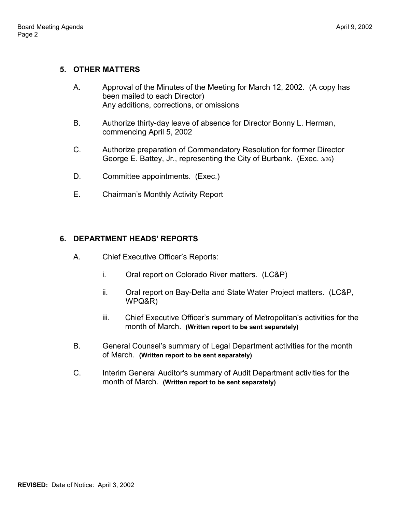## **5. OTHER MATTERS**

- A. Approval of the Minutes of the Meeting for March 12, 2002. (A copy has been mailed to each Director) Any additions, corrections, or omissions
- B. Authorize thirty-day leave of absence for Director Bonny L. Herman, commencing April 5, 2002
- C. Authorize preparation of Commendatory Resolution for former Director George E. Battey, Jr., representing the City of Burbank. (Exec. 3/26)
- D. Committee appointments. (Exec.)
- E. Chairman's Monthly Activity Report

# **6. DEPARTMENT HEADS' REPORTS**

- A. Chief Executive Officer's Reports:
	- i. Oral report on Colorado River matters. (LC&P)
	- ii. Oral report on Bay-Delta and State Water Project matters. (LC&P, WPQ&R)
	- iii. Chief Executive Officer's summary of Metropolitan's activities for the month of March. **(Written report to be sent separately)**
- B. General Counsel's summary of Legal Department activities for the month of March. **(Written report to be sent separately)**
- C. Interim General Auditor's summary of Audit Department activities for the month of March. **(Written report to be sent separately)**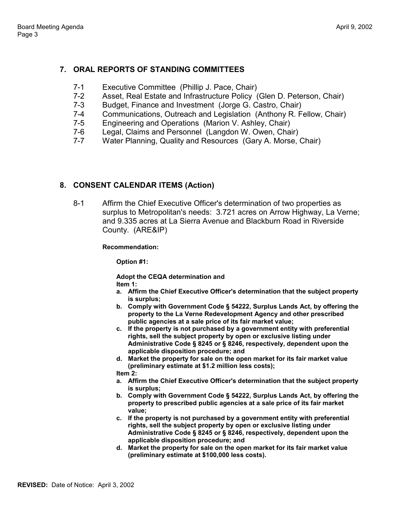# **7. ORAL REPORTS OF STANDING COMMITTEES**

- 7-1 Executive Committee (Phillip J. Pace, Chair)
- 7-2 Asset, Real Estate and Infrastructure Policy (Glen D. Peterson, Chair)
- 7-3 Budget, Finance and Investment (Jorge G. Castro, Chair)
- 7-4 Communications, Outreach and Legislation (Anthony R. Fellow, Chair)
- 7-5 Engineering and Operations (Marion V. Ashley, Chair)
- 7-6 Legal, Claims and Personnel (Langdon W. Owen, Chair)
- 7-7 Water Planning, Quality and Resources (Gary A. Morse, Chair)

## **8. CONSENT CALENDAR ITEMS (Action)**

8-1 Affirm the Chief Executive Officer's determination of two properties as surplus to Metropolitan's needs: 3.721 acres on Arrow Highway, La Verne; and 9.335 acres at La Sierra Avenue and Blackburn Road in Riverside County. (ARE&IP)

### **Recommendation:**

**Option #1:**

**Adopt the CEQA determination and Item 1:**

- **a. Affirm the Chief Executive Officer's determination that the subject property is surplus;**
- **b. Comply with Government Code § 54222, Surplus Lands Act, by offering the property to the La Verne Redevelopment Agency and other prescribed public agencies at a sale price of its fair market value;**
- **c. If the property is not purchased by a government entity with preferential rights, sell the subject property by open or exclusive listing under Administrative Code § 8245 or § 8246, respectively, dependent upon the applicable disposition procedure; and**
- **d. Market the property for sale on the open market for its fair market value (preliminary estimate at \$1.2 million less costs);**

**Item 2:**

- **a. Affirm the Chief Executive Officer's determination that the subject property is surplus;**
- **b. Comply with Government Code § 54222, Surplus Lands Act, by offering the property to prescribed public agencies at a sale price of its fair market value;**
- **c. If the property is not purchased by a government entity with preferential rights, sell the subject property by open or exclusive listing under Administrative Code § 8245 or § 8246, respectively, dependent upon the applicable disposition procedure; and**
- **d. Market the property for sale on the open market for its fair market value (preliminary estimate at \$100,000 less costs).**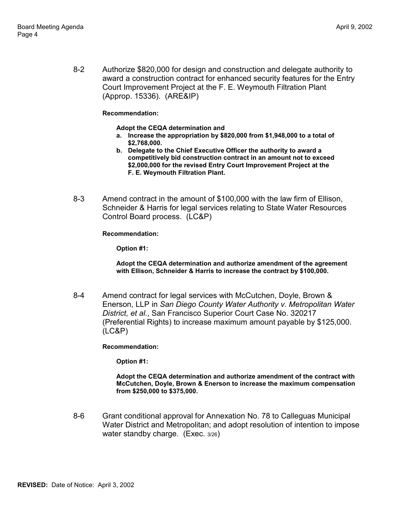8-2 Authorize \$820,000 for design and construction and delegate authority to award a construction contract for enhanced security features for the Entry Court Improvement Project at the F. E. Weymouth Filtration Plant (Approp. 15336). (ARE&IP)

### **Recommendation:**

### **Adopt the CEQA determination and**

- **a. Increase the appropriation by \$820,000 from \$1,948,000 to a total of \$2,768,000.**
- **b. Delegate to the Chief Executive Officer the authority to award a competitively bid construction contract in an amount not to exceed \$2,000,000 for the revised Entry Court Improvement Project at the F. E. Weymouth Filtration Plant.**
- 8-3 Amend contract in the amount of \$100,000 with the law firm of Ellison, Schneider & Harris for legal services relating to State Water Resources Control Board process. (LC&P)

### **Recommendation:**

**Option #1:**

**Adopt the CEQA determination and authorize amendment of the agreement with Ellison, Schneider & Harris to increase the contract by \$100,000.**

8-4 Amend contract for legal services with McCutchen, Doyle, Brown & Enerson, LLP in *San Diego County Water Authority v. Metropolitan Water District, et al*., San Francisco Superior Court Case No. 320217 (Preferential Rights) to increase maximum amount payable by \$125,000. (LC&P)

**Recommendation:**

**Option #1:**

**Adopt the CEQA determination and authorize amendment of the contract with McCutchen, Doyle, Brown & Enerson to increase the maximum compensation from \$250,000 to \$375,000.**

8-6 Grant conditional approval for Annexation No. 78 to Calleguas Municipal Water District and Metropolitan; and adopt resolution of intention to impose water standby charge. (Exec. 3/26)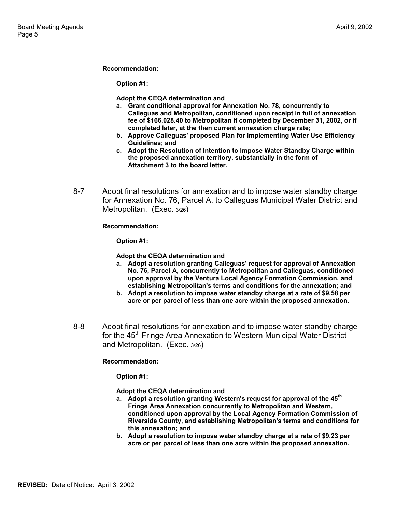#### **Recommendation:**

**Option #1:**

**Adopt the CEQA determination and**

- **a. Grant conditional approval for Annexation No. 78, concurrently to Calleguas and Metropolitan, conditioned upon receipt in full of annexation fee of \$166,028.40 to Metropolitan if completed by December 31, 2002, or if completed later, at the then current annexation charge rate;**
- **b. Approve Calleguas' proposed Plan for Implementing Water Use Efficiency Guidelines; and**
- **c. Adopt the Resolution of Intention to Impose Water Standby Charge within the proposed annexation territory, substantially in the form of Attachment 3 to the board letter.**
- 8-7 Adopt final resolutions for annexation and to impose water standby charge for Annexation No. 76, Parcel A, to Calleguas Municipal Water District and Metropolitan. (Exec. 3/26)

**Recommendation:**

**Option #1:**

**Adopt the CEQA determination and**

- **a. Adopt a resolution granting Calleguas' request for approval of Annexation No. 76, Parcel A, concurrently to Metropolitan and Calleguas, conditioned upon approval by the Ventura Local Agency Formation Commission, and establishing Metropolitan's terms and conditions for the annexation; and**
- **b. Adopt a resolution to impose water standby charge at a rate of \$9.58 per acre or per parcel of less than one acre within the proposed annexation.**
- 8-8 Adopt final resolutions for annexation and to impose water standby charge for the 45<sup>th</sup> Fringe Area Annexation to Western Municipal Water District and Metropolitan. (Exec. 3/26)

### **Recommendation:**

**Option #1:**

**Adopt the CEQA determination and**

- **a. Adopt a resolution granting Western's request for approval of the 45th Fringe Area Annexation concurrently to Metropolitan and Western, conditioned upon approval by the Local Agency Formation Commission of Riverside County, and establishing Metropolitan's terms and conditions for this annexation; and**
- **b. Adopt a resolution to impose water standby charge at a rate of \$9.23 per acre or per parcel of less than one acre within the proposed annexation.**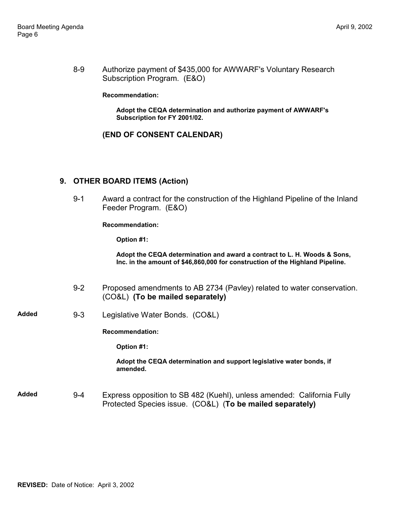8-9 Authorize payment of \$435,000 for AWWARF's Voluntary Research Subscription Program. (E&O)

#### **Recommendation:**

**Adopt the CEQA determination and authorize payment of AWWARF's Subscription for FY 2001/02.**

### **(END OF CONSENT CALENDAR)**

### **9. OTHER BOARD ITEMS (Action)**

9-1 Award a contract for the construction of the Highland Pipeline of the Inland Feeder Program. (E&O)

**Recommendation:**

**Option #1:**

**Adopt the CEQA determination and award a contract to L. H. Woods & Sons, Inc. in the amount of \$46,860,000 for construction of the Highland Pipeline.**

- 9-2 Proposed amendments to AB 2734 (Pavley) related to water conservation. (CO&L) **(To be mailed separately)**
- **Added** 9-3 Legislative Water Bonds. (CO&L)

**Recommendation:**

**Option #1:**

**Adopt the CEQA determination and support legislative water bonds, if amended.**

**Added** 9-4 Express opposition to SB 482 (Kuehl), unless amended: California Fully Protected Species issue. (CO&L) (**To be mailed separately)**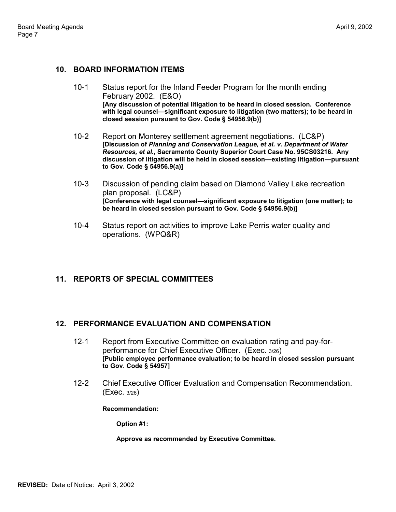### **10. BOARD INFORMATION ITEMS**

- 10-1 Status report for the Inland Feeder Program for the month ending February 2002. (E&O) **[Any discussion of potential litigation to be heard in closed session. Conference with legal counsel—significant exposure to litigation (two matters); to be heard in closed session pursuant to Gov. Code § 54956.9(b)]**
- 10-2 Report on Monterey settlement agreement negotiations. (LC&P) **[Discussion of** *Planning and Conservation League, et al. v. Department of Water Resources, et al***., Sacramento County Superior Court Case No. 95CS03216. Any discussion of litigation will be held in closed session—existing litigation—pursuant to Gov. Code § 54956.9(a)]**
- 10-3 Discussion of pending claim based on Diamond Valley Lake recreation plan proposal. (LC&P) **[Conference with legal counsel—significant exposure to litigation (one matter); to be heard in closed session pursuant to Gov. Code § 54956.9(b)]**
- 10-4 Status report on activities to improve Lake Perris water quality and operations. (WPQ&R)

## **11. REPORTS OF SPECIAL COMMITTEES**

### **12. PERFORMANCE EVALUATION AND COMPENSATION**

- 12-1 Report from Executive Committee on evaluation rating and pay-forperformance for Chief Executive Officer. (Exec. 3/26) **[Public employee performance evaluation; to be heard in closed session pursuant to Gov. Code § 54957]**
- 12-2 Chief Executive Officer Evaluation and Compensation Recommendation. (Exec. 3/26)

### **Recommendation:**

**Option #1:**

#### **Approve as recommended by Executive Committee.**